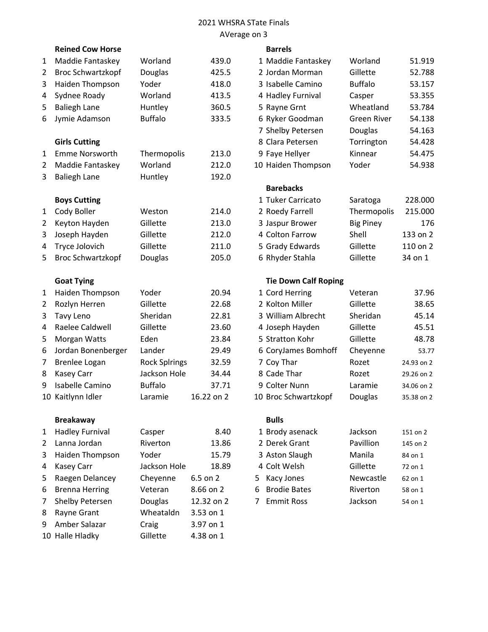# 2021 WHSRA STate Finals AVerage on 3

|   | <b>Reined Cow Horse</b>  |                      |            | <b>Barrels</b>              |                    |            |
|---|--------------------------|----------------------|------------|-----------------------------|--------------------|------------|
| 1 | Maddie Fantaskey         | Worland              | 439.0      | 1 Maddie Fantaskey          | Worland            | 51.919     |
| 2 | <b>Broc Schwartzkopf</b> | <b>Douglas</b>       | 425.5      | 2 Jordan Morman             | Gillette           | 52.788     |
| 3 | Haiden Thompson          | Yoder                | 418.0      | 3 Isabelle Camino           | <b>Buffalo</b>     | 53.157     |
| 4 | Sydnee Roady             | Worland              | 413.5      | 4 Hadley Furnival           | Casper             | 53.355     |
| 5 | <b>Baliegh Lane</b>      | Huntley              | 360.5      | 5 Rayne Grnt                | Wheatland          | 53.784     |
| 6 | Jymie Adamson            | <b>Buffalo</b>       | 333.5      | 6 Ryker Goodman             | <b>Green River</b> | 54.138     |
|   |                          |                      |            | 7 Shelby Petersen           | Douglas            | 54.163     |
|   | <b>Girls Cutting</b>     |                      |            | 8 Clara Petersen            | Torrington         | 54.428     |
| 1 | <b>Emme Norsworth</b>    | Thermopolis          | 213.0      | 9 Faye Hellyer              | Kinnear            | 54.475     |
| 2 | Maddie Fantaskey         | Worland              | 212.0      | 10 Haiden Thompson          | Yoder              | 54.938     |
| 3 | <b>Baliegh Lane</b>      | Huntley              | 192.0      |                             |                    |            |
|   |                          |                      |            | <b>Barebacks</b>            |                    |            |
|   | <b>Boys Cutting</b>      |                      |            | 1 Tuker Carricato           | Saratoga           | 228.000    |
| 1 | Cody Boller              | Weston               | 214.0      | 2 Roedy Farrell             | Thermopolis        | 215.000    |
| 2 | Keyton Hayden            | Gillette             | 213.0      | 3 Jaspur Brower             | <b>Big Piney</b>   | 176        |
| 3 | Joseph Hayden            | Gillette             | 212.0      | 4 Colton Farrow             | Shell              | 133 on 2   |
| 4 | Tryce Jolovich           | Gillette             | 211.0      | 5 Grady Edwards             | Gillette           | 110 on 2   |
| 5 | <b>Broc Schwartzkopf</b> | Douglas              | 205.0      | 6 Rhyder Stahla             | Gillette           | 34 on 1    |
|   | <b>Goat Tying</b>        |                      |            | <b>Tie Down Calf Roping</b> |                    |            |
| 1 | Haiden Thompson          | Yoder                | 20.94      | 1 Cord Herring              | Veteran            | 37.96      |
| 2 | Rozlyn Herren            | Gillette             | 22.68      | 2 Kolton Miller             | Gillette           | 38.65      |
| 3 | <b>Tavy Leno</b>         | Sheridan             | 22.81      | 3 William Albrecht          | Sheridan           | 45.14      |
| 4 | Raelee Caldwell          | Gillette             | 23.60      | 4 Joseph Hayden             | Gillette           | 45.51      |
| 5 | Morgan Watts             | Eden                 | 23.84      | 5 Stratton Kohr             | Gillette           | 48.78      |
| 6 | Jordan Bonenberger       | Lander               | 29.49      | 6 CoryJames Bomhoff         | Cheyenne           | 53.77      |
| 7 | Brenlee Logan            | <b>Rock Splrings</b> | 32.59      | 7 Coy Thar                  | Rozet              | 24.93 on 2 |
| 8 | <b>Kasey Carr</b>        | Jackson Hole         | 34.44      | 8 Cade Thar                 | Rozet              | 29.26 on 2 |
| 9 | <b>Isabelle Camino</b>   | <b>Buffalo</b>       | 37.71      | 9 Colter Nunn               | Laramie            | 34.06 on 2 |
|   | 10 Kaitlynn Idler        | Laramie              | 16.22 on 2 | 10 Broc Schwartzkopf        | Douglas            | 35.38 on 2 |
|   |                          |                      |            |                             |                    |            |

# Breakaway **Bulls** Bulls

| $1 \quad$      | Hadley Furnival | Casper          | 8.40          | 1 Brody asenack   | Jackson   | 151 on 2 |
|----------------|-----------------|-----------------|---------------|-------------------|-----------|----------|
|                | 2 Lanna Jordan  | <b>Riverton</b> | 13.86         | 2 Derek Grant     | Pavillion | 145 on 2 |
| 3 <sup>7</sup> | Haiden Thompson | Yoder           | 15.79         | 3 Aston Slaugh    | Manila    | 84 on 1  |
|                | 4 Kasey Carr    | Jackson Hole    | 18.89         | 4 Colt Welsh      | Gillette  | 72 on 1  |
| 5              | Raegen Delancey | Cheyenne        | $6.5$ on $2$  | 5 Kacy Jones      | Newcastle | 62 on 1  |
| 6              | Brenna Herring  | Veteran         | 8.66 on 2     | 6 Brodie Bates    | Riverton  | 58 on 1  |
| $7^{\circ}$    | Shelby Petersen | Douglas         | 12.32 on 2    | <b>Emmit Ross</b> | Jackson   | 54 on 1  |
| 8              | Rayne Grant     | Wheataldn       | $3.53$ on $1$ |                   |           |          |
| 9              | Amber Salazar   | Craig           | 3.97 on 1     |                   |           |          |
|                | 10 Halle Hladky | Gillette        | 4.38 on 1     |                   |           |          |

#### **Barrels**

| Maddie Fantaskey         | Worland        | 439.0 | 1 Maddie Fantaskey | Worland        | 51.919 |
|--------------------------|----------------|-------|--------------------|----------------|--------|
| <b>Broc Schwartzkopf</b> | <b>Douglas</b> | 425.5 | 2 Jordan Morman    | Gillette       | 52.788 |
| Haiden Thompson          | Yoder          | 418.0 | 3 Isabelle Camino  | <b>Buffalo</b> | 53.157 |
| Sydnee Roady             | Worland        | 413.5 | 4 Hadley Furnival  | Casper         | 53.355 |
| <b>Baliegh Lane</b>      | Huntley        | 360.5 | 5 Rayne Grnt       | Wheatland      | 53.784 |
| Jymie Adamson            | <b>Buffalo</b> | 333.5 | 6 Ryker Goodman    | Green River    | 54.138 |
|                          |                |       | 7 Shelby Petersen  | <b>Douglas</b> | 54.163 |
| <b>Girls Cutting</b>     |                |       | 8 Clara Petersen   | Torrington     | 54.428 |
| <b>Emme Norsworth</b>    | Thermopolis    | 213.0 | 9 Faye Hellyer     | Kinnear        | 54.475 |
| Maddie Fantaskey         | Worland        | 212.0 | 10 Haiden Thompson | Yoder          | 54.938 |
| <b>Baliegh Lane</b>      | Huntley        | 192.0 |                    |                |        |
|                          |                |       |                    |                |        |

# Barebacks

| <b>Boys Cutting</b> |          |       | 1 Tuker Carricato | Saratoga         | 228,000  |
|---------------------|----------|-------|-------------------|------------------|----------|
| Cody Boller         | Weston   | 214.0 | 2 Roedy Farrell   | Thermopolis      | 215.000  |
| Keyton Hayden       | Gillette | 213.0 | 3 Jaspur Brower   | <b>Big Piney</b> | 176      |
| Joseph Hayden       | Gillette | 212.0 | 4 Colton Farrow   | Shell            | 133 on 2 |
| Tryce Jolovich      | Gillette | 211.0 | 5 Grady Edwards   | Gillette         | 110 on 2 |
| Broc Schwartzkopf   | Douglas  | 205.0 | 6 Rhyder Stahla   | Gillette         | 34 on 1  |

## Tie Down Calf Roping

| 1 Cord Herring       | Veteran  | 37.96      |
|----------------------|----------|------------|
| 2 Kolton Miller      | Gillette | 38.65      |
| 3 William Albrecht   | Sheridan | 45.14      |
| 4 Joseph Hayden      | Gillette | 45.51      |
| 5 Stratton Kohr      | Gillette | 48.78      |
| 6 CoryJames Bomhoff  | Cheyenne | 53.77      |
| 7 Coy Thar           | Rozet    | 24.93 on 2 |
| 8 Cade Thar          | Rozet    | 29.26 on 2 |
| 9 Colter Nunn        | Laramie  | 34.06 on 2 |
| 10 Broc Schwartzkopf | Douglas  | 35.38 on 2 |

| 1 Brody asenack | Jackson   | 151 on 2 |
|-----------------|-----------|----------|
| 2 Derek Grant   | Pavillion | 145 on 2 |
| 3 Aston Slaugh  | Manila    | 84 on 1  |
| 4 Colt Welsh    | Gillette  | 72 on 1  |
| 5 Kacy Jones    | Newcastle | 62 on 1  |
| 6 Brodie Bates  | Riverton  | 58 on 1  |
| 7 Emmit Ross    | Jackson   | 54 on 1  |